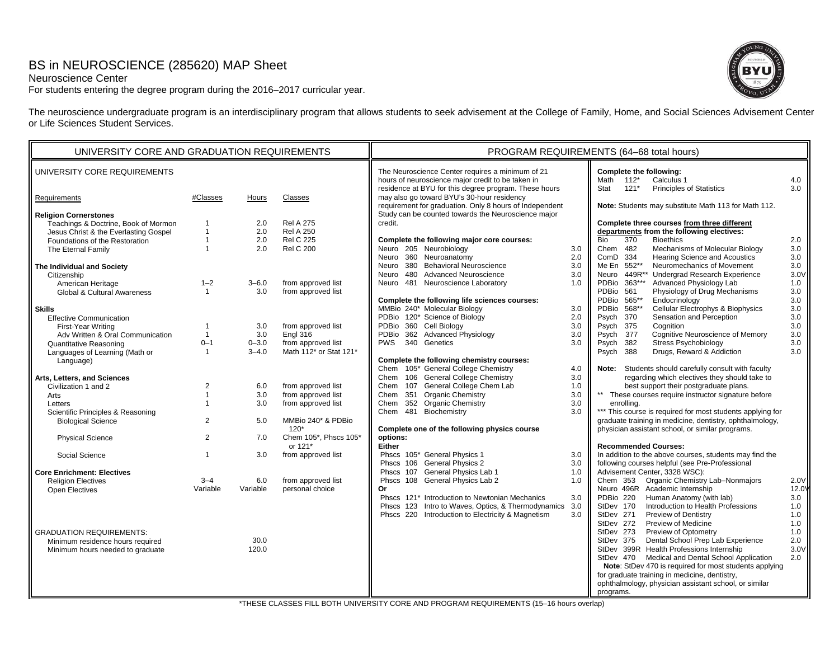# BS in NEUROSCIENCE (285620) MAP Sheet

## Neuroscience Center

For students entering the degree program during the 2016–2017 curricular year.



The neuroscience undergraduate program is an interdisciplinary program that allows students to seek advisement at the College of Family, Home, and Social Sciences Advisement Center or Life Sciences Student Services.

| UNIVERSITY CORE AND GRADUATION REQUIREMENTS                          |                                  |            |                                      | PROGRAM REQUIREMENTS (64-68 total hours)                                                                                                                       |            |                                                                                                           |            |  |
|----------------------------------------------------------------------|----------------------------------|------------|--------------------------------------|----------------------------------------------------------------------------------------------------------------------------------------------------------------|------------|-----------------------------------------------------------------------------------------------------------|------------|--|
| UNIVERSITY CORE REQUIREMENTS                                         |                                  |            |                                      | The Neuroscience Center requires a minimum of 21<br>hours of neuroscience major credit to be taken in<br>residence at BYU for this degree program. These hours |            | Complete the following:<br>Math 112*<br>Calculus 1<br>Stat<br>$121*$<br>Principles of Statistics          | 4.0<br>3.0 |  |
| Requirements                                                         | #Classes                         | Hours      | Classes                              | may also go toward BYU's 30-hour residency<br>requirement for graduation. Only 8 hours of Independent                                                          |            | Note: Students may substitute Math 113 for Math 112.                                                      |            |  |
| <b>Religion Cornerstones</b><br>Teachings & Doctrine, Book of Mormon |                                  | 2.0        | <b>Rel A 275</b>                     | Study can be counted towards the Neuroscience major<br>credit.                                                                                                 |            | Complete three courses from three different                                                               |            |  |
| Jesus Christ & the Everlasting Gospel                                | $\overline{1}$<br>$\overline{1}$ | 2.0        | <b>Rel A 250</b><br><b>Rel C 225</b> |                                                                                                                                                                |            | departments from the following electives:<br>Bio                                                          |            |  |
| Foundations of the Restoration                                       | $\overline{1}$                   | 2.0<br>2.0 | <b>Rel C 200</b>                     | Complete the following major core courses:<br>Neuro 205 Neurobiology                                                                                           |            | 370<br><b>Bioethics</b><br>Chem 482<br>Mechanisms of Molecular Biology                                    | 2.0<br>3.0 |  |
| The Eternal Family                                                   |                                  |            |                                      | Neuro 360 Neuroanatomy                                                                                                                                         | 3.0<br>2.0 | ComD 334<br>Hearing Science and Acoustics                                                                 | 3.0        |  |
| The Individual and Society                                           |                                  |            |                                      | Neuro 380 Behavioral Neuroscience                                                                                                                              | 3.0        | Me En 552**<br>Neuromechanics of Movement                                                                 | 3.0        |  |
| Citizenship                                                          |                                  |            |                                      | Neuro 480 Advanced Neuroscience                                                                                                                                | 3.0        | Neuro 449R*<br><b>Undergrad Research Experience</b>                                                       | 3.0V       |  |
| American Heritage                                                    | $1 - 2$                          | $3 - 6.0$  | from approved list                   | Neuro 481 Neuroscience Laboratory                                                                                                                              | 1.0        | PDBio 363***<br>Advanced Physiology Lab                                                                   | 1.0        |  |
| Global & Cultural Awareness                                          | $\overline{1}$                   | 3.0        | from approved list                   |                                                                                                                                                                |            | Physiology of Drug Mechanisms<br>PDBio 561                                                                | 3.0        |  |
|                                                                      |                                  |            |                                      | Complete the following life sciences courses:                                                                                                                  |            | PDBio 565**<br>Endocrinology                                                                              | 3.0        |  |
| <b>Skills</b>                                                        |                                  |            |                                      | MMBio 240* Molecular Biology                                                                                                                                   | 3.0        | Cellular Electrophys & Biophysics<br>PDBio 568**                                                          | 3.0        |  |
| <b>Effective Communication</b>                                       |                                  |            |                                      | PDBio 120* Science of Biology                                                                                                                                  | 2.0        | Sensation and Perception<br>Psych 370                                                                     | 3.0        |  |
| First-Year Writing                                                   | $\mathbf 1$                      | 3.0        | from approved list                   | PDBio 360 Cell Biology                                                                                                                                         | 3.0        | Psych 375<br>Cognition                                                                                    | 3.0        |  |
| Adv Written & Oral Communication                                     | $\mathbf{1}$                     | 3.0        | <b>Engl 316</b>                      | PDBio 362 Advanced Physiology                                                                                                                                  | 3.0        | Cognitive Neuroscience of Memory<br>Psych 377                                                             | 3.0        |  |
| Quantitative Reasoning                                               | $0 - 1$                          | $0 - 3.0$  | from approved list                   | <b>PWS</b><br>340 Genetics                                                                                                                                     | 3.0        | Psych 382<br><b>Stress Psychobiology</b>                                                                  | 3.0        |  |
| Languages of Learning (Math or                                       | $\overline{1}$                   | $3 - 4.0$  | Math 112* or Stat 121*               |                                                                                                                                                                |            | Drugs, Reward & Addiction<br>Psych 388                                                                    | 3.0        |  |
| Language)                                                            |                                  |            |                                      | Complete the following chemistry courses:                                                                                                                      |            |                                                                                                           |            |  |
|                                                                      |                                  |            |                                      | Chem 105* General College Chemistry                                                                                                                            | 4.0        | Note: Students should carefully consult with faculty                                                      |            |  |
| Arts, Letters, and Sciences                                          |                                  |            |                                      | Chem 106 General College Chemistry                                                                                                                             | 3.0        | regarding which electives they should take to                                                             |            |  |
| Civilization 1 and 2                                                 | $\overline{2}$                   | 6.0        | from approved list                   | Chem 107 General College Chem Lab                                                                                                                              | 1.0        | best support their postgraduate plans.                                                                    |            |  |
| Arts                                                                 | $\overline{1}$<br>-1             | 3.0<br>3.0 | from approved list                   | Chem 351 Organic Chemistry<br>Chem 352 Organic Chemistry                                                                                                       | 3.0<br>3.0 | These courses require instructor signature before<br>enrolling.                                           |            |  |
| Letters                                                              |                                  |            | from approved list                   | Chem 481 Biochemistry                                                                                                                                          | 3.0        | *** This course is required for most students applying for                                                |            |  |
| Scientific Principles & Reasoning                                    | $\overline{2}$                   | 5.0        | MMBio 240* & PDBio                   |                                                                                                                                                                |            | graduate training in medicine, dentistry, ophthalmology,                                                  |            |  |
| <b>Biological Science</b>                                            |                                  |            | $120*$                               | Complete one of the following physics course                                                                                                                   |            | physician assistant school, or similar programs.                                                          |            |  |
| <b>Physical Science</b>                                              | $\overline{2}$                   | 7.0        | Chem 105*, Phscs 105*<br>or 121*     | options:<br>Either                                                                                                                                             |            | <b>Recommended Courses:</b>                                                                               |            |  |
| Social Science                                                       | $\overline{1}$                   | 3.0        | from approved list                   | Phscs 105* General Physics 1                                                                                                                                   | 3.0        | In addition to the above courses, students may find the                                                   |            |  |
|                                                                      |                                  |            |                                      | Phscs 106 General Physics 2                                                                                                                                    | 3.0        | following courses helpful (see Pre-Professional                                                           |            |  |
| <b>Core Enrichment: Electives</b>                                    |                                  |            |                                      | Phscs 107 General Physics Lab 1                                                                                                                                | 1.0        | Advisement Center, 3328 WSC):                                                                             |            |  |
| <b>Religion Electives</b>                                            | $3 - 4$                          | 6.0        | from approved list                   | Phscs 108 General Physics Lab 2                                                                                                                                | 1.0        | Chem 353 Organic Chemistry Lab-Nonmajors                                                                  | 2.0V       |  |
| <b>Open Electives</b>                                                | Variable                         | Variable   | personal choice                      | Or                                                                                                                                                             |            | Neuro 496R Academic Internship                                                                            | 12.0       |  |
|                                                                      |                                  |            |                                      | Phscs 121* Introduction to Newtonian Mechanics                                                                                                                 | 3.0        | PDBio 220 Human Anatomy (with lab)                                                                        | 3.0        |  |
|                                                                      |                                  |            |                                      | Phscs 123 Intro to Waves, Optics, & Thermodynamics                                                                                                             | 3.0        | Introduction to Health Professions<br>StDev 170                                                           | 1.0        |  |
|                                                                      |                                  |            |                                      | Phscs 220 Introduction to Electricity & Magnetism                                                                                                              | 3.0        | StDev 271<br>Preview of Dentistry                                                                         | 1.0        |  |
|                                                                      |                                  |            |                                      |                                                                                                                                                                |            | <b>Preview of Medicine</b><br>StDev 272                                                                   | 1.0        |  |
| <b>GRADUATION REQUIREMENTS:</b>                                      |                                  |            |                                      |                                                                                                                                                                |            | StDev 273 Preview of Optometry                                                                            | 1.0        |  |
| Minimum residence hours required                                     |                                  | 30.0       |                                      |                                                                                                                                                                |            | StDev 375 Dental School Prep Lab Experience                                                               | 2.0        |  |
| Minimum hours needed to graduate                                     |                                  | 120.0      |                                      |                                                                                                                                                                |            | StDev 399R Health Professions Internship                                                                  | 3.0V       |  |
|                                                                      |                                  |            |                                      |                                                                                                                                                                |            | StDev 470 Medical and Dental School Application<br>Note: StDev 470 is required for most students applying | 2.0        |  |
|                                                                      |                                  |            |                                      |                                                                                                                                                                |            | for graduate training in medicine, dentistry,                                                             |            |  |
|                                                                      |                                  |            |                                      |                                                                                                                                                                |            | ophthalmology, physician assistant school, or similar                                                     |            |  |
|                                                                      |                                  |            |                                      |                                                                                                                                                                |            | programs.                                                                                                 |            |  |
|                                                                      |                                  |            |                                      |                                                                                                                                                                |            |                                                                                                           |            |  |

\*THESE CLASSES FILL BOTH UNIVERSITY CORE AND PROGRAM REQUIREMENTS (15–16 hours overlap)